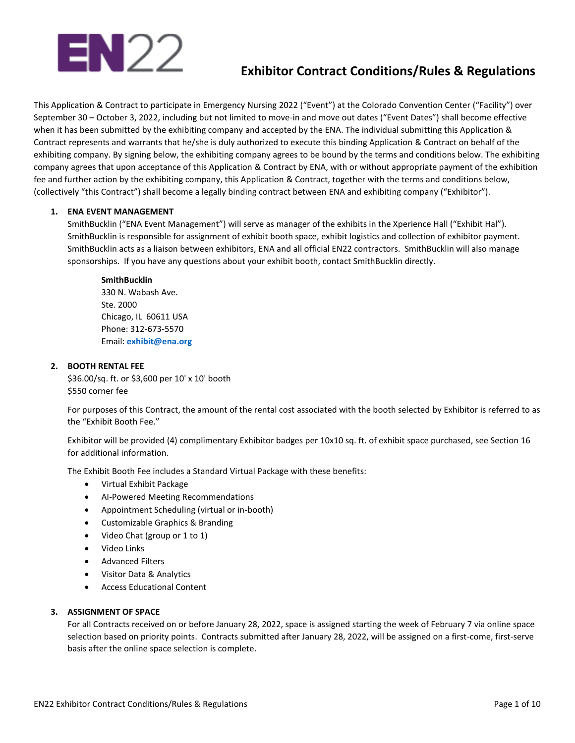# EN22

# **Exhibitor Contract Conditions/Rules & Regulations**

This Application & Contract to participate in Emergency Nursing 2022 ("Event") at the Colorado Convention Center ("Facility") over September 30 – October 3, 2022, including but not limited to move-in and move out dates ("Event Dates") shall become effective when it has been submitted by the exhibiting company and accepted by the ENA. The individual submitting this Application & Contract represents and warrants that he/she is duly authorized to execute this binding Application & Contract on behalf of the exhibiting company. By signing below, the exhibiting company agrees to be bound by the terms and conditions below. The exhibiting company agrees that upon acceptance of this Application & Contract by ENA, with or without appropriate payment of the exhibition fee and further action by the exhibiting company, this Application & Contract, together with the terms and conditions below, (collectively "this Contract") shall become a legally binding contract between ENA and exhibiting company ("Exhibitor").

# **1. ENA EVENT MANAGEMENT**

SmithBucklin ("ENA Event Management") will serve as manager of the exhibits in the Xperience Hall ("Exhibit Hal"). SmithBucklin is responsible for assignment of exhibit booth space, exhibit logistics and collection of exhibitor payment. SmithBucklin acts as a liaison between exhibitors, ENA and all official EN22 contractors. SmithBucklin will also manage sponsorships. If you have any questions about your exhibit booth, contact SmithBucklin directly.

# **SmithBucklin**

330 N. Wabash Ave. Ste. 2000 Chicago, IL 60611 USA Phone: 312-673-5570 Email: **[exhibit@ena.org](mailto:exhibit@ena.org)**

# **2. BOOTH RENTAL FEE**

\$36.00/sq. ft. or \$3,600 per 10' x 10' booth \$550 corner fee

For purposes of this Contract, the amount of the rental cost associated with the booth selected by Exhibitor is referred to as the "Exhibit Booth Fee."

Exhibitor will be provided (4) complimentary Exhibitor badges per 10x10 sq. ft. of exhibit space purchased, see Section 16 for additional information.

The Exhibit Booth Fee includes a Standard Virtual Package with these benefits:

- Virtual Exhibit Package
- AI-Powered Meeting Recommendations
- Appointment Scheduling (virtual or in-booth)
- Customizable Graphics & Branding
- Video Chat (group or 1 to 1)
- Video Links
- Advanced Filters
- Visitor Data & Analytics
- Access Educational Content

# **3. ASSIGNMENT OF SPACE**

For all Contracts received on or before January 28, 2022, space is assigned starting the week of February 7 via online space selection based on priority points. Contracts submitted after January 28, 2022, will be assigned on a first-come, first-serve basis after the online space selection is complete.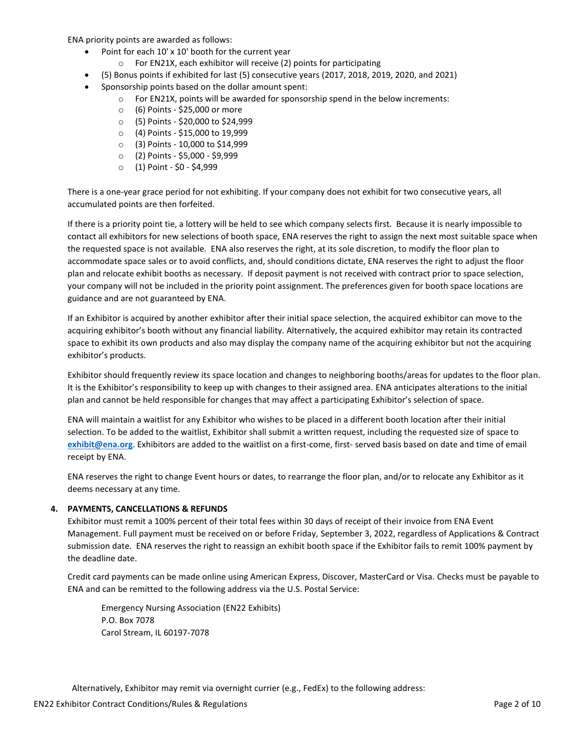ENA priority points are awarded as follows:

- Point for each 10' x 10' booth for the current year
	- o For EN21X, each exhibitor will receive (2) points for participating
	- (5) Bonus points if exhibited for last (5) consecutive years (2017, 2018, 2019, 2020, and 2021)
- Sponsorship points based on the dollar amount spent:
	- $\circ$  For EN21X, points will be awarded for sponsorship spend in the below increments:
		- o (6) Points \$25,000 or more
	- o (5) Points \$20,000 to \$24,999
	- o (4) Points \$15,000 to 19,999
	- o (3) Points 10,000 to \$14,999
	- o (2) Points \$5,000 \$9,999
	- o (1) Point \$0 \$4,999

There is a one-year grace period for not exhibiting. If your company does not exhibit for two consecutive years, all accumulated points are then forfeited.

If there is a priority point tie, a lottery will be held to see which company selects first. Because it is nearly impossible to contact all exhibitors for new selections of booth space, ENA reserves the right to assign the next most suitable space when the requested space is not available. ENA also reserves the right, at its sole discretion, to modify the floor plan to accommodate space sales or to avoid conflicts, and, should conditions dictate, ENA reserves the right to adjust the floor plan and relocate exhibit booths as necessary. If deposit payment is not received with contract prior to space selection, your company will not be included in the priority point assignment. The preferences given for booth space locations are guidance and are not guaranteed by ENA.

If an Exhibitor is acquired by another exhibitor after their initial space selection, the acquired exhibitor can move to the acquiring exhibitor's booth without any financial liability. Alternatively, the acquired exhibitor may retain its contracted space to exhibit its own products and also may display the company name of the acquiring exhibitor but not the acquiring exhibitor's products.

Exhibitor should frequently review its space location and changes to neighboring booths/areas for updates to the floor plan. It is the Exhibitor's responsibility to keep up with changes to their assigned area. ENA anticipates alterations to the initial plan and cannot be held responsible for changes that may affect a participating Exhibitor's selection of space.

ENA will maintain a waitlist for any Exhibitor who wishes to be placed in a different booth location after their initial selection. To be added to the waitlist, Exhibitor shall submit a written request, including the requested size of space to **[exhibit@ena.org](mailto:exhibit@ena.org)**. Exhibitors are added to the waitlist on a first-come, first- served basis based on date and time of email receipt by ENA.

ENA reserves the right to change Event hours or dates, to rearrange the floor plan, and/or to relocate any Exhibitor as it deems necessary at any time.

# **4. PAYMENTS, CANCELLATIONS & REFUNDS**

Exhibitor must remit a 100% percent of their total fees within 30 days of receipt of their invoice from ENA Event Management. Full payment must be received on or before Friday, September 3, 2022, regardless of Applications & Contract submission date. ENA reserves the right to reassign an exhibit booth space if the Exhibitor fails to remit 100% payment by the deadline date.

Credit card payments can be made online using American Express, Discover, MasterCard or Visa. Checks must be payable to ENA and can be remitted to the following address via the U.S. Postal Service:

Emergency Nursing Association (EN22 Exhibits) P.O. Box 7078 Carol Stream, IL 60197-7078

Alternatively, Exhibitor may remit via overnight currier (e.g., FedEx) to the following address: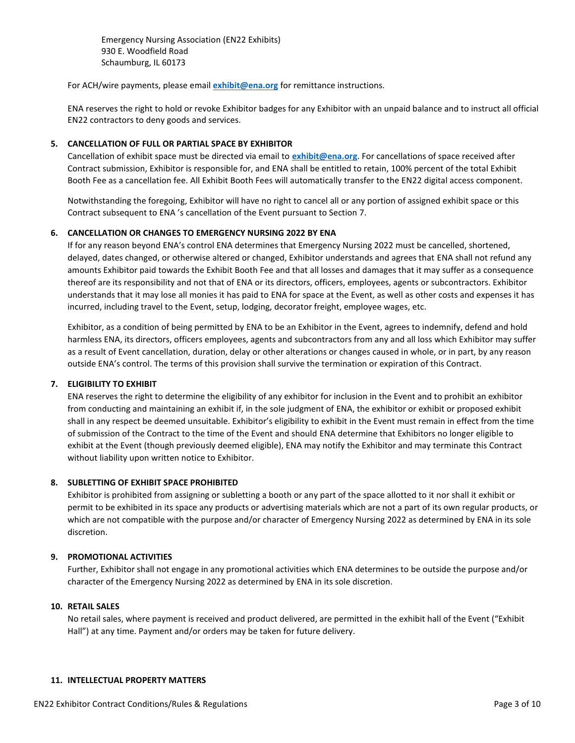Emergency Nursing Association (EN22 Exhibits) 930 E. Woodfield Road Schaumburg, IL 60173

For ACH/wire payments, please email **[exhibit@ena.org](mailto:exhibit@ena.org)** for remittance instructions.

ENA reserves the right to hold or revoke Exhibitor badges for any Exhibitor with an unpaid balance and to instruct all official EN22 contractors to deny goods and services.

#### **5. CANCELLATION OF FULL OR PARTIAL SPACE BY EXHIBITOR**

Cancellation of exhibit space must be directed via email to **[exhibit@ena.org](mailto:exhibit@ena.org)**. For cancellations of space received after Contract submission, Exhibitor is responsible for, and ENA shall be entitled to retain, 100% percent of the total Exhibit Booth Fee as a cancellation fee. All Exhibit Booth Fees will automatically transfer to the EN22 digital access component.

Notwithstanding the foregoing, Exhibitor will have no right to cancel all or any portion of assigned exhibit space or this Contract subsequent to ENA 's cancellation of the Event pursuant to Section 7.

# **6. CANCELLATION OR CHANGES TO EMERGENCY NURSING 2022 BY ENA**

If for any reason beyond ENA's control ENA determines that Emergency Nursing 2022 must be cancelled, shortened, delayed, dates changed, or otherwise altered or changed, Exhibitor understands and agrees that ENA shall not refund any amounts Exhibitor paid towards the Exhibit Booth Fee and that all losses and damages that it may suffer as a consequence thereof are its responsibility and not that of ENA or its directors, officers, employees, agents or subcontractors. Exhibitor understands that it may lose all monies it has paid to ENA for space at the Event, as well as other costs and expenses it has incurred, including travel to the Event, setup, lodging, decorator freight, employee wages, etc.

Exhibitor, as a condition of being permitted by ENA to be an Exhibitor in the Event, agrees to indemnify, defend and hold harmless ENA, its directors, officers employees, agents and subcontractors from any and all loss which Exhibitor may suffer as a result of Event cancellation, duration, delay or other alterations or changes caused in whole, or in part, by any reason outside ENA's control. The terms of this provision shall survive the termination or expiration of this Contract.

# **7. ELIGIBILITY TO EXHIBIT**

ENA reserves the right to determine the eligibility of any exhibitor for inclusion in the Event and to prohibit an exhibitor from conducting and maintaining an exhibit if, in the sole judgment of ENA, the exhibitor or exhibit or proposed exhibit shall in any respect be deemed unsuitable. Exhibitor's eligibility to exhibit in the Event must remain in effect from the time of submission of the Contract to the time of the Event and should ENA determine that Exhibitors no longer eligible to exhibit at the Event (though previously deemed eligible), ENA may notify the Exhibitor and may terminate this Contract without liability upon written notice to Exhibitor.

#### **8. SUBLETTING OF EXHIBIT SPACE PROHIBITED**

Exhibitor is prohibited from assigning or subletting a booth or any part of the space allotted to it nor shall it exhibit or permit to be exhibited in its space any products or advertising materials which are not a part of its own regular products, or which are not compatible with the purpose and/or character of Emergency Nursing 2022 as determined by ENA in its sole discretion.

#### **9. PROMOTIONAL ACTIVITIES**

Further, Exhibitor shall not engage in any promotional activities which ENA determines to be outside the purpose and/or character of the Emergency Nursing 2022 as determined by ENA in its sole discretion.

#### **10. RETAIL SALES**

No retail sales, where payment is received and product delivered, are permitted in the exhibit hall of the Event ("Exhibit Hall") at any time. Payment and/or orders may be taken for future delivery.

#### **11. INTELLECTUAL PROPERTY MATTERS**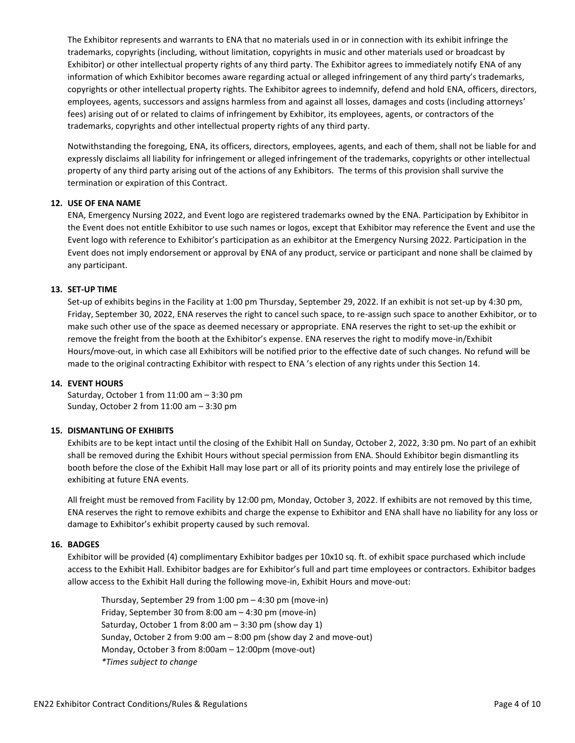The Exhibitor represents and warrants to ENA that no materials used in or in connection with its exhibit infringe the trademarks, copyrights (including, without limitation, copyrights in music and other materials used or broadcast by Exhibitor) or other intellectual property rights of any third party. The Exhibitor agrees to immediately notify ENA of any information of which Exhibitor becomes aware regarding actual or alleged infringement of any third party's trademarks, copyrights or other intellectual property rights. The Exhibitor agrees to indemnify, defend and hold ENA, officers, directors, employees, agents, successors and assigns harmless from and against all losses, damages and costs (including attorneys' fees) arising out of or related to claims of infringement by Exhibitor, its employees, agents, or contractors of the trademarks, copyrights and other intellectual property rights of any third party.

Notwithstanding the foregoing, ENA, its officers, directors, employees, agents, and each of them, shall not be liable for and expressly disclaims all liability for infringement or alleged infringement of the trademarks, copyrights or other intellectual property of any third party arising out of the actions of any Exhibitors. The terms of this provision shall survive the termination or expiration of this Contract.

#### **12. USE OF ENA NAME**

ENA, Emergency Nursing 2022, and Event logo are registered trademarks owned by the ENA. Participation by Exhibitor in the Event does not entitle Exhibitor to use such names or logos, except that Exhibitor may reference the Event and use the Event logo with reference to Exhibitor's participation as an exhibitor at the Emergency Nursing 2022. Participation in the Event does not imply endorsement or approval by ENA of any product, service or participant and none shall be claimed by any participant.

#### **13. SET-UP TIME**

Set-up of exhibits begins in the Facility at 1:00 pm Thursday, September 29, 2022. If an exhibit is not set-up by 4:30 pm, Friday, September 30, 2022, ENA reserves the right to cancel such space, to re-assign such space to another Exhibitor, or to make such other use of the space as deemed necessary or appropriate. ENA reserves the right to set-up the exhibit or remove the freight from the booth at the Exhibitor's expense. ENA reserves the right to modify move-in/Exhibit Hours/move-out, in which case all Exhibitors will be notified prior to the effective date of such changes. No refund will be made to the original contracting Exhibitor with respect to ENA 's election of any rights under this Section 14.

#### **14. EVENT HOURS**

Saturday, October 1 from 11:00 am – 3:30 pm Sunday, October 2 from 11:00 am – 3:30 pm

#### **15. DISMANTLING OF EXHIBITS**

Exhibits are to be kept intact until the closing of the Exhibit Hall on Sunday, October 2, 2022, 3:30 pm. No part of an exhibit shall be removed during the Exhibit Hours without special permission from ENA. Should Exhibitor begin dismantling its booth before the close of the Exhibit Hall may lose part or all of its priority points and may entirely lose the privilege of exhibiting at future ENA events.

All freight must be removed from Facility by 12:00 pm, Monday, October 3, 2022. If exhibits are not removed by this time, ENA reserves the right to remove exhibits and charge the expense to Exhibitor and ENA shall have no liability for any loss or damage to Exhibitor's exhibit property caused by such removal.

#### **16. BADGES**

Exhibitor will be provided (4) complimentary Exhibitor badges per 10x10 sq. ft. of exhibit space purchased which include access to the Exhibit Hall. Exhibitor badges are for Exhibitor's full and part time employees or contractors. Exhibitor badges allow access to the Exhibit Hall during the following move-in, Exhibit Hours and move-out:

Thursday, September 29 from 1:00 pm – 4:30 pm (move-in) Friday, September 30 from 8:00 am – 4:30 pm (move-in) Saturday, October 1 from 8:00 am – 3:30 pm (show day 1) Sunday, October 2 from 9:00 am – 8:00 pm (show day 2 and move-out) Monday, October 3 from 8:00am – 12:00pm (move-out) *\*Times subject to change*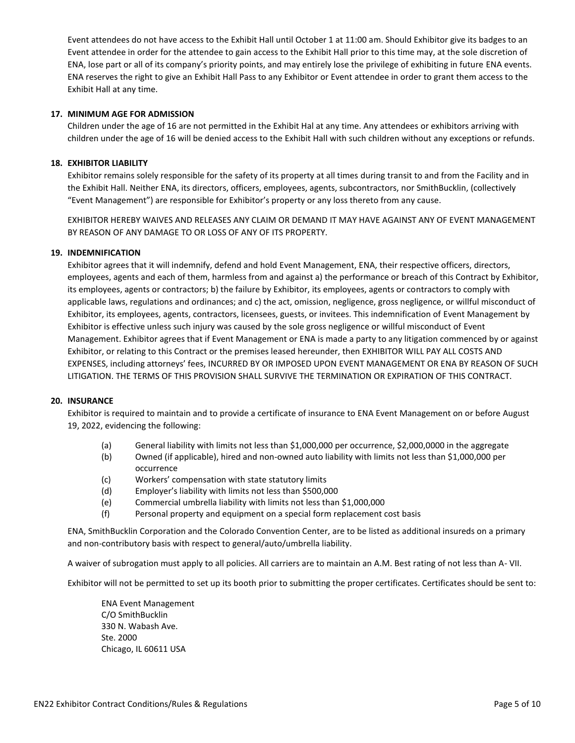Event attendees do not have access to the Exhibit Hall until October 1 at 11:00 am. Should Exhibitor give its badges to an Event attendee in order for the attendee to gain access to the Exhibit Hall prior to this time may, at the sole discretion of ENA, lose part or all of its company's priority points, and may entirely lose the privilege of exhibiting in future ENA events. ENA reserves the right to give an Exhibit Hall Pass to any Exhibitor or Event attendee in order to grant them access to the Exhibit Hall at any time.

#### **17. MINIMUM AGE FOR ADMISSION**

Children under the age of 16 are not permitted in the Exhibit Hal at any time. Any attendees or exhibitors arriving with children under the age of 16 will be denied access to the Exhibit Hall with such children without any exceptions or refunds.

#### **18. EXHIBITOR LIABILITY**

Exhibitor remains solely responsible for the safety of its property at all times during transit to and from the Facility and in the Exhibit Hall. Neither ENA, its directors, officers, employees, agents, subcontractors, nor SmithBucklin, (collectively "Event Management") are responsible for Exhibitor's property or any loss thereto from any cause.

EXHIBITOR HEREBY WAIVES AND RELEASES ANY CLAIM OR DEMAND IT MAY HAVE AGAINST ANY OF EVENT MANAGEMENT BY REASON OF ANY DAMAGE TO OR LOSS OF ANY OF ITS PROPERTY.

#### **19. INDEMNIFICATION**

Exhibitor agrees that it will indemnify, defend and hold Event Management, ENA, their respective officers, directors, employees, agents and each of them, harmless from and against a) the performance or breach of this Contract by Exhibitor, its employees, agents or contractors; b) the failure by Exhibitor, its employees, agents or contractors to comply with applicable laws, regulations and ordinances; and c) the act, omission, negligence, gross negligence, or willful misconduct of Exhibitor, its employees, agents, contractors, licensees, guests, or invitees. This indemnification of Event Management by Exhibitor is effective unless such injury was caused by the sole gross negligence or willful misconduct of Event Management. Exhibitor agrees that if Event Management or ENA is made a party to any litigation commenced by or against Exhibitor, or relating to this Contract or the premises leased hereunder, then EXHIBITOR WILL PAY ALL COSTS AND EXPENSES, including attorneys' fees, INCURRED BY OR IMPOSED UPON EVENT MANAGEMENT OR ENA BY REASON OF SUCH LITIGATION. THE TERMS OF THIS PROVISION SHALL SURVIVE THE TERMINATION OR EXPIRATION OF THIS CONTRACT.

#### **20. INSURANCE**

Exhibitor is required to maintain and to provide a certificate of insurance to ENA Event Management on or before August 19, 2022, evidencing the following:

- (a) General liability with limits not less than \$1,000,000 per occurrence, \$2,000,0000 in the aggregate
- (b) Owned (if applicable), hired and non-owned auto liability with limits not less than \$1,000,000 per occurrence
- (c) Workers' compensation with state statutory limits
- (d) Employer's liability with limits not less than \$500,000
- (e) Commercial umbrella liability with limits not less than \$1,000,000
- (f) Personal property and equipment on a special form replacement cost basis

ENA, SmithBucklin Corporation and the Colorado Convention Center, are to be listed as additional insureds on a primary and non-contributory basis with respect to general/auto/umbrella liability.

A waiver of subrogation must apply to all policies. All carriers are to maintain an A.M. Best rating of not less than A- VII.

Exhibitor will not be permitted to set up its booth prior to submitting the proper certificates. Certificates should be sent to:

ENA Event Management C/O SmithBucklin 330 N. Wabash Ave. Ste. 2000 Chicago, IL 60611 USA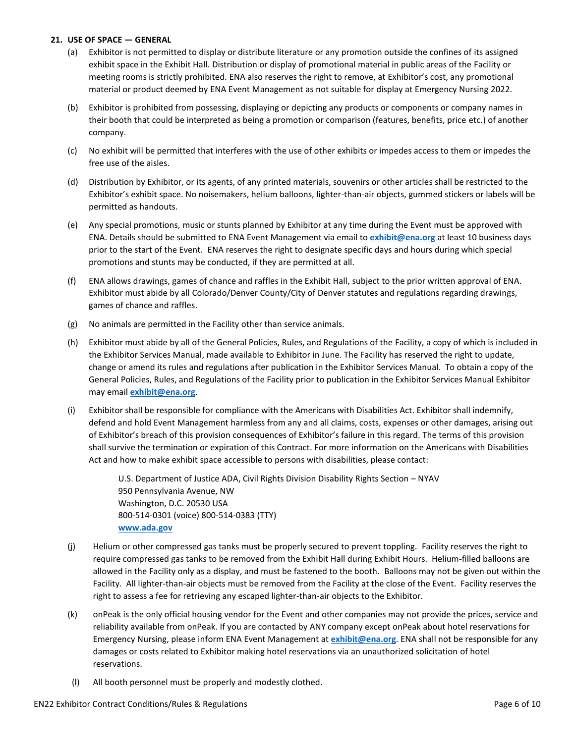#### **21. USE OF SPACE — GENERAL**

- (a) Exhibitor is not permitted to display or distribute literature or any promotion outside the confines of its assigned exhibit space in the Exhibit Hall. Distribution or display of promotional material in public areas of the Facility or meeting rooms is strictly prohibited. ENA also reserves the right to remove, at Exhibitor's cost, any promotional material or product deemed by ENA Event Management as not suitable for display at Emergency Nursing 2022.
- (b) Exhibitor is prohibited from possessing, displaying or depicting any products or components or company names in their booth that could be interpreted as being a promotion or comparison (features, benefits, price etc.) of another company.
- (c) No exhibit will be permitted that interferes with the use of other exhibits or impedes access to them or impedes the free use of the aisles.
- (d) Distribution by Exhibitor, or its agents, of any printed materials, souvenirs or other articles shall be restricted to the Exhibitor's exhibit space. No noisemakers, helium balloons, lighter-than-air objects, gummed stickers or labels will be permitted as handouts.
- (e) Any special promotions, music or stunts planned by Exhibitor at any time during the Event must be approved with ENA. Details should be submitted to ENA Event Management via email to **[exhibit@ena.org](mailto:exhibit@ena.org)** at least 10 business days prior to the start of the Event. ENA reserves the right to designate specific days and hours during which special promotions and stunts may be conducted, if they are permitted at all.
- (f) ENA allows drawings, games of chance and raffles in the Exhibit Hall, subject to the prior written approval of ENA. Exhibitor must abide by all Colorado/Denver County/City of Denver statutes and regulations regarding drawings, games of chance and raffles.
- (g) No animals are permitted in the Facility other than service animals.
- (h) Exhibitor must abide by all of the General Policies, Rules, and Regulations of the Facility, a copy of which is included in the Exhibitor Services Manual, made available to Exhibitor in June. The Facility has reserved the right to update, change or amend its rules and regulations after publication in the Exhibitor Services Manual. To obtain a copy of the General Policies, Rules, and Regulations of the Facility prior to publication in the Exhibitor Services Manual Exhibitor may email **[exhibit@ena.org](mailto:exhibit@ena.org)**.
- (i) Exhibitor shall be responsible for compliance with the Americans with Disabilities Act. Exhibitor shall indemnify, defend and hold Event Management harmless from any and all claims, costs, expenses or other damages, arising out of Exhibitor's breach of this provision consequences of Exhibitor's failure in this regard. The terms of this provision shall survive the termination or expiration of this Contract. For more information on the Americans with Disabilities Act and how to make exhibit space accessible to persons with disabilities, please contact:

U.S. Department of Justice ADA, Civil Rights Division Disability Rights Section – NYAV 950 Pennsylvania Avenue, NW Washington, D.C. 20530 USA 800-514-0301 (voice) 800-514-0383 (TTY) **[www.ada.gov](http://www.ada.gov/)**

- (j) Helium or other compressed gas tanks must be properly secured to prevent toppling. Facility reserves the right to require compressed gas tanks to be removed from the Exhibit Hall during Exhibit Hours. Helium-filled balloons are allowed in the Facility only as a display, and must be fastened to the booth. Balloons may not be given out within the Facility. All lighter-than-air objects must be removed from the Facility at the close of the Event. Facility reserves the right to assess a fee for retrieving any escaped lighter-than-air objects to the Exhibitor.
- (k) onPeak is the only official housing vendor for the Event and other companies may not provide the prices, service and reliability available from onPeak. If you are contacted by ANY company except onPeak about hotel reservations for Emergency Nursing, please inform ENA Event Management at **[exhibit@ena.org](mailto:exhibit@ena.org)**. ENA shall not be responsible for any damages or costs related to Exhibitor making hotel reservations via an unauthorized solicitation of hotel reservations.
- (l) All booth personnel must be properly and modestly clothed.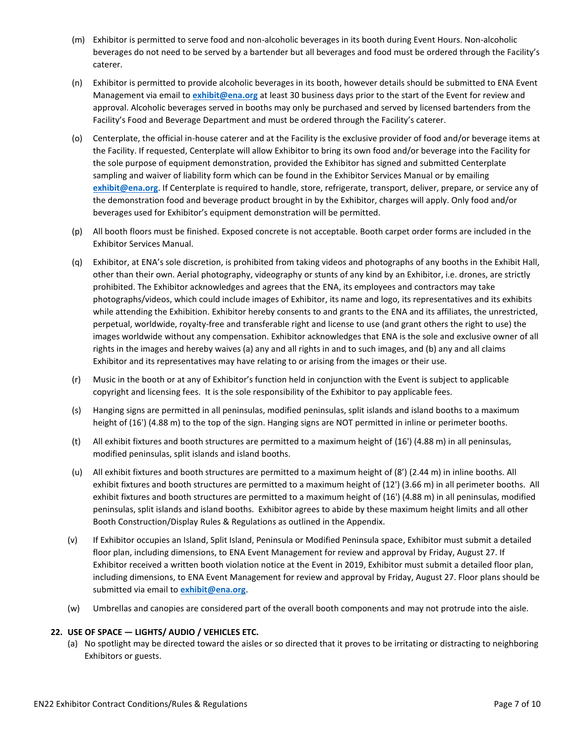- (m) Exhibitor is permitted to serve food and non-alcoholic beverages in its booth during Event Hours. Non-alcoholic beverages do not need to be served by a bartender but all beverages and food must be ordered through the Facility's caterer.
- (n) Exhibitor is permitted to provide alcoholic beverages in its booth, however details should be submitted to ENA Event Management via email to **[exhibit@ena.org](mailto:exhibit@ena.org)** at least 30 business days prior to the start of the Event for review and approval. Alcoholic beverages served in booths may only be purchased and served by licensed bartenders from the Facility's Food and Beverage Department and must be ordered through the Facility's caterer.
- (o) Centerplate, the official in-house caterer and at the Facility is the exclusive provider of food and/or beverage items at the Facility. If requested, Centerplate will allow Exhibitor to bring its own food and/or beverage into the Facility for the sole purpose of equipment demonstration, provided the Exhibitor has signed and submitted Centerplate sampling and waiver of liability form which can be found in the Exhibitor Services Manual or by emailing **[exhibit@ena.org](mailto:exhibit@ena.org)**. If Centerplate is required to handle, store, refrigerate, transport, deliver, prepare, or service any of the demonstration food and beverage product brought in by the Exhibitor, charges will apply. Only food and/or beverages used for Exhibitor's equipment demonstration will be permitted.
- (p) All booth floors must be finished. Exposed concrete is not acceptable. Booth carpet order forms are included in the Exhibitor Services Manual.
- (q) Exhibitor, at ENA's sole discretion, is prohibited from taking videos and photographs of any booths in the Exhibit Hall, other than their own. Aerial photography, videography or stunts of any kind by an Exhibitor, i.e. drones, are strictly prohibited. The Exhibitor acknowledges and agrees that the ENA, its employees and contractors may take photographs/videos, which could include images of Exhibitor, its name and logo, its representatives and its exhibits while attending the Exhibition. Exhibitor hereby consents to and grants to the ENA and its affiliates, the unrestricted, perpetual, worldwide, royalty-free and transferable right and license to use (and grant others the right to use) the images worldwide without any compensation. Exhibitor acknowledges that ENA is the sole and exclusive owner of all rights in the images and hereby waives (a) any and all rights in and to such images, and (b) any and all claims Exhibitor and its representatives may have relating to or arising from the images or their use.
- (r) Music in the booth or at any of Exhibitor's function held in conjunction with the Event is subject to applicable copyright and licensing fees. It is the sole responsibility of the Exhibitor to pay applicable fees.
- (s) Hanging signs are permitted in all peninsulas, modified peninsulas, split islands and island booths to a maximum height of (16') (4.88 m) to the top of the sign. Hanging signs are NOT permitted in inline or perimeter booths.
- (t) All exhibit fixtures and booth structures are permitted to a maximum height of (16') (4.88 m) in all peninsulas, modified peninsulas, split islands and island booths.
- (u) All exhibit fixtures and booth structures are permitted to a maximum height of (8') (2.44 m) in inline booths. All exhibit fixtures and booth structures are permitted to a maximum height of (12') (3.66 m) in all perimeter booths. All exhibit fixtures and booth structures are permitted to a maximum height of (16') (4.88 m) in all peninsulas, modified peninsulas, split islands and island booths. Exhibitor agrees to abide by these maximum height limits and all other Booth Construction/Display Rules & Regulations as outlined in the Appendix.
- (v) If Exhibitor occupies an Island, Split Island, Peninsula or Modified Peninsula space, Exhibitor must submit a detailed floor plan, including dimensions, to ENA Event Management for review and approval by Friday, August 27. If Exhibitor received a written booth violation notice at the Event in 2019, Exhibitor must submit a detailed floor plan, including dimensions, to ENA Event Management for review and approval by Friday, August 27. Floor plans should be submitted via email to **[exhibit@ena.org](mailto:exhibit@ena.org)**.
- (w) Umbrellas and canopies are considered part of the overall booth components and may not protrude into the aisle.

# **22. USE OF SPACE — LIGHTS/ AUDIO / VEHICLES ETC.**

(a) No spotlight may be directed toward the aisles or so directed that it proves to be irritating or distracting to neighboring Exhibitors or guests.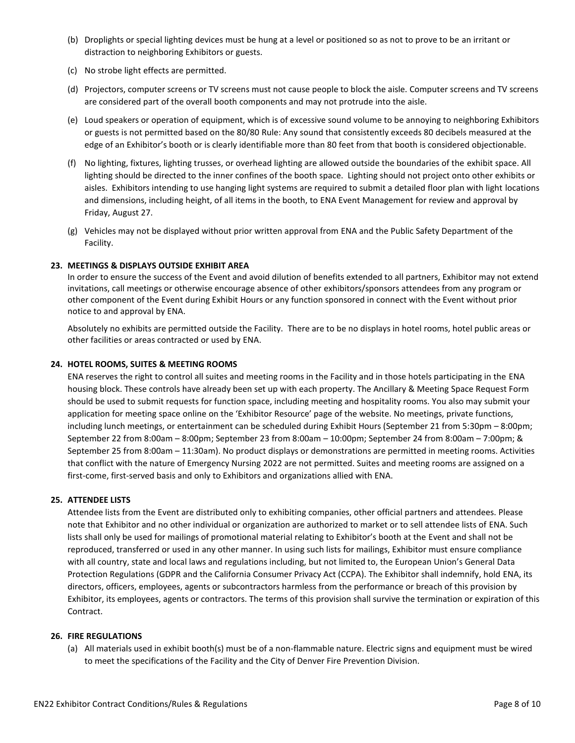- (b) Droplights or special lighting devices must be hung at a level or positioned so as not to prove to be an irritant or distraction to neighboring Exhibitors or guests.
- (c) No strobe light effects are permitted.
- (d) Projectors, computer screens or TV screens must not cause people to block the aisle. Computer screens and TV screens are considered part of the overall booth components and may not protrude into the aisle.
- (e) Loud speakers or operation of equipment, which is of excessive sound volume to be annoying to neighboring Exhibitors or guests is not permitted based on the 80/80 Rule: Any sound that consistently exceeds 80 decibels measured at the edge of an Exhibitor's booth or is clearly identifiable more than 80 feet from that booth is considered objectionable.
- (f) No lighting, fixtures, lighting trusses, or overhead lighting are allowed outside the boundaries of the exhibit space. All lighting should be directed to the inner confines of the booth space. Lighting should not project onto other exhibits or aisles. Exhibitors intending to use hanging light systems are required to submit a detailed floor plan with light locations and dimensions, including height, of all items in the booth, to ENA Event Management for review and approval by Friday, August 27.
- (g) Vehicles may not be displayed without prior written approval from ENA and the Public Safety Department of the Facility.

# **23. MEETINGS & DISPLAYS OUTSIDE EXHIBIT AREA**

In order to ensure the success of the Event and avoid dilution of benefits extended to all partners, Exhibitor may not extend invitations, call meetings or otherwise encourage absence of other exhibitors/sponsors attendees from any program or other component of the Event during Exhibit Hours or any function sponsored in connect with the Event without prior notice to and approval by ENA.

Absolutely no exhibits are permitted outside the Facility. There are to be no displays in hotel rooms, hotel public areas or other facilities or areas contracted or used by ENA.

#### **24. HOTEL ROOMS, SUITES & MEETING ROOMS**

ENA reserves the right to control all suites and meeting rooms in the Facility and in those hotels participating in the ENA housing block. These controls have already been set up with each property. The Ancillary & Meeting Space Request Form should be used to submit requests for function space, including meeting and hospitality rooms. You also may submit your application for meeting space online on the 'Exhibitor Resource' page of the website. No meetings, private functions, including lunch meetings, or entertainment can be scheduled during Exhibit Hours (September 21 from 5:30pm – 8:00pm; September 22 from 8:00am – 8:00pm; September 23 from 8:00am – 10:00pm; September 24 from 8:00am – 7:00pm; & September 25 from 8:00am – 11:30am). No product displays or demonstrations are permitted in meeting rooms. Activities that conflict with the nature of Emergency Nursing 2022 are not permitted. Suites and meeting rooms are assigned on a first-come, first-served basis and only to Exhibitors and organizations allied with ENA.

# **25. ATTENDEE LISTS**

Attendee lists from the Event are distributed only to exhibiting companies, other official partners and attendees. Please note that Exhibitor and no other individual or organization are authorized to market or to sell attendee lists of ENA. Such lists shall only be used for mailings of promotional material relating to Exhibitor's booth at the Event and shall not be reproduced, transferred or used in any other manner. In using such lists for mailings, Exhibitor must ensure compliance with all country, state and local laws and regulations including, but not limited to, the European Union's General Data Protection Regulations (GDPR and the California Consumer Privacy Act (CCPA). The Exhibitor shall indemnify, hold ENA, its directors, officers, employees, agents or subcontractors harmless from the performance or breach of this provision by Exhibitor, its employees, agents or contractors. The terms of this provision shall survive the termination or expiration of this Contract.

#### **26. FIRE REGULATIONS**

(a) All materials used in exhibit booth(s) must be of a non-flammable nature. Electric signs and equipment must be wired to meet the specifications of the Facility and the City of Denver Fire Prevention Division.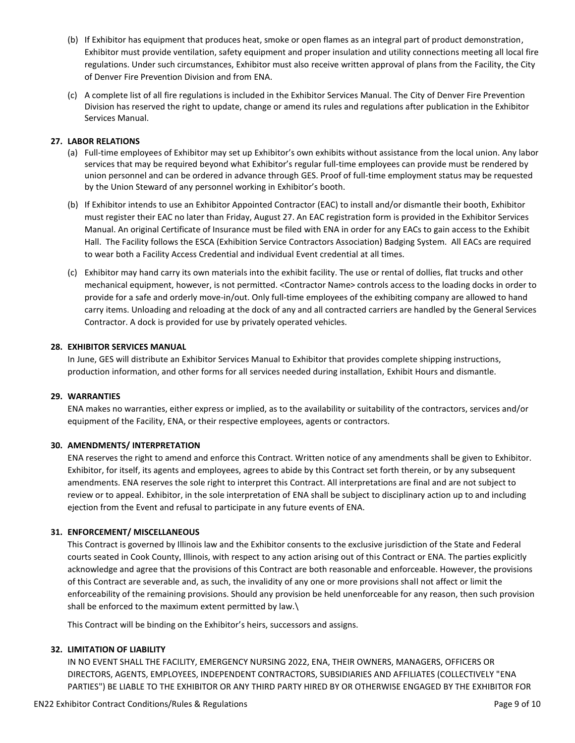- (b) If Exhibitor has equipment that produces heat, smoke or open flames as an integral part of product demonstration, Exhibitor must provide ventilation, safety equipment and proper insulation and utility connections meeting all local fire regulations. Under such circumstances, Exhibitor must also receive written approval of plans from the Facility, the City of Denver Fire Prevention Division and from ENA.
- (c) A complete list of all fire regulations is included in the Exhibitor Services Manual. The City of Denver Fire Prevention Division has reserved the right to update, change or amend its rules and regulations after publication in the Exhibitor Services Manual.

# **27. LABOR RELATIONS**

- (a) Full-time employees of Exhibitor may set up Exhibitor's own exhibits without assistance from the local union. Any labor services that may be required beyond what Exhibitor's regular full-time employees can provide must be rendered by union personnel and can be ordered in advance through GES. Proof of full-time employment status may be requested by the Union Steward of any personnel working in Exhibitor's booth.
- (b) If Exhibitor intends to use an Exhibitor Appointed Contractor (EAC) to install and/or dismantle their booth, Exhibitor must register their EAC no later than Friday, August 27. An EAC registration form is provided in the Exhibitor Services Manual. An original Certificate of Insurance must be filed with ENA in order for any EACs to gain access to the Exhibit Hall. The Facility follows the ESCA (Exhibition Service Contractors Association) Badging System. All EACs are required to wear both a Facility Access Credential and individual Event credential at all times.
- (c) Exhibitor may hand carry its own materials into the exhibit facility. The use or rental of dollies, flat trucks and other mechanical equipment, however, is not permitted. <Contractor Name> controls access to the loading docks in order to provide for a safe and orderly move-in/out. Only full-time employees of the exhibiting company are allowed to hand carry items. Unloading and reloading at the dock of any and all contracted carriers are handled by the General Services Contractor. A dock is provided for use by privately operated vehicles.

# **28. EXHIBITOR SERVICES MANUAL**

In June, GES will distribute an Exhibitor Services Manual to Exhibitor that provides complete shipping instructions, production information, and other forms for all services needed during installation, Exhibit Hours and dismantle.

# **29. WARRANTIES**

ENA makes no warranties, either express or implied, as to the availability or suitability of the contractors, services and/or equipment of the Facility, ENA, or their respective employees, agents or contractors.

# **30. AMENDMENTS/ INTERPRETATION**

ENA reserves the right to amend and enforce this Contract. Written notice of any amendments shall be given to Exhibitor. Exhibitor, for itself, its agents and employees, agrees to abide by this Contract set forth therein, or by any subsequent amendments. ENA reserves the sole right to interpret this Contract. All interpretations are final and are not subject to review or to appeal. Exhibitor, in the sole interpretation of ENA shall be subject to disciplinary action up to and including ejection from the Event and refusal to participate in any future events of ENA.

# **31. ENFORCEMENT/ MISCELLANEOUS**

This Contract is governed by Illinois law and the Exhibitor consents to the exclusive jurisdiction of the State and Federal courts seated in Cook County, Illinois, with respect to any action arising out of this Contract or ENA. The parties explicitly acknowledge and agree that the provisions of this Contract are both reasonable and enforceable. However, the provisions of this Contract are severable and, as such, the invalidity of any one or more provisions shall not affect or limit the enforceability of the remaining provisions. Should any provision be held unenforceable for any reason, then such provision shall be enforced to the maximum extent permitted by law.\

This Contract will be binding on the Exhibitor's heirs, successors and assigns.

# **32. LIMITATION OF LIABILITY**

IN NO EVENT SHALL THE FACILITY, EMERGENCY NURSING 2022, ENA, THEIR OWNERS, MANAGERS, OFFICERS OR DIRECTORS, AGENTS, EMPLOYEES, INDEPENDENT CONTRACTORS, SUBSIDIARIES AND AFFILIATES (COLLECTIVELY "ENA PARTIES") BE LIABLE TO THE EXHIBITOR OR ANY THIRD PARTY HIRED BY OR OTHERWISE ENGAGED BY THE EXHIBITOR FOR